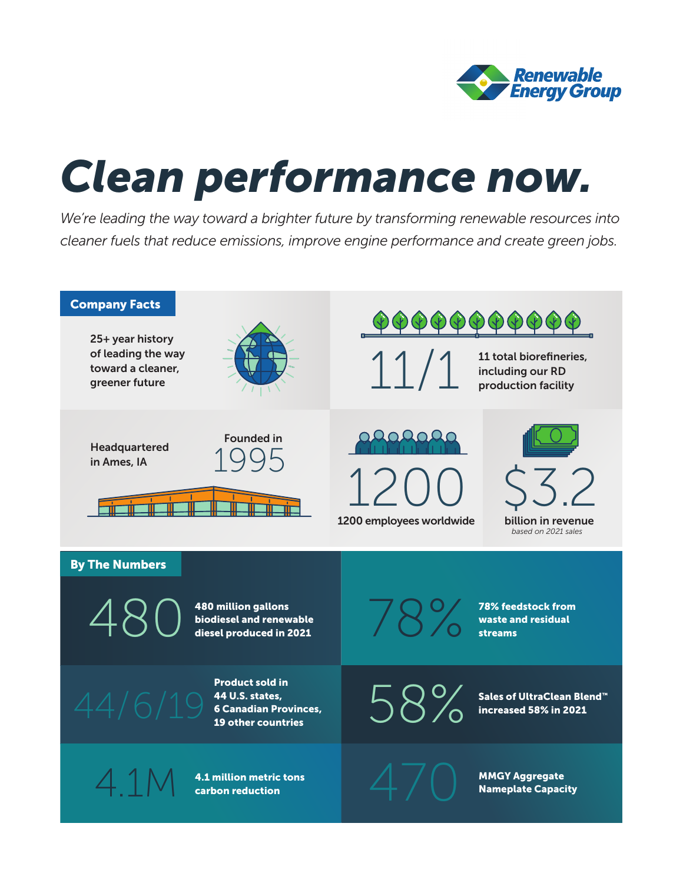

*Clean performance now are now mandature by transforming renewable resources in*<br>We're leading the way toward a brighter future by transforming renewable resources in We're leading the way toward a brighter future by transforming renewable resources into *cleaner fuels that reduce emissions, improve engine performance and create green jobs.* 

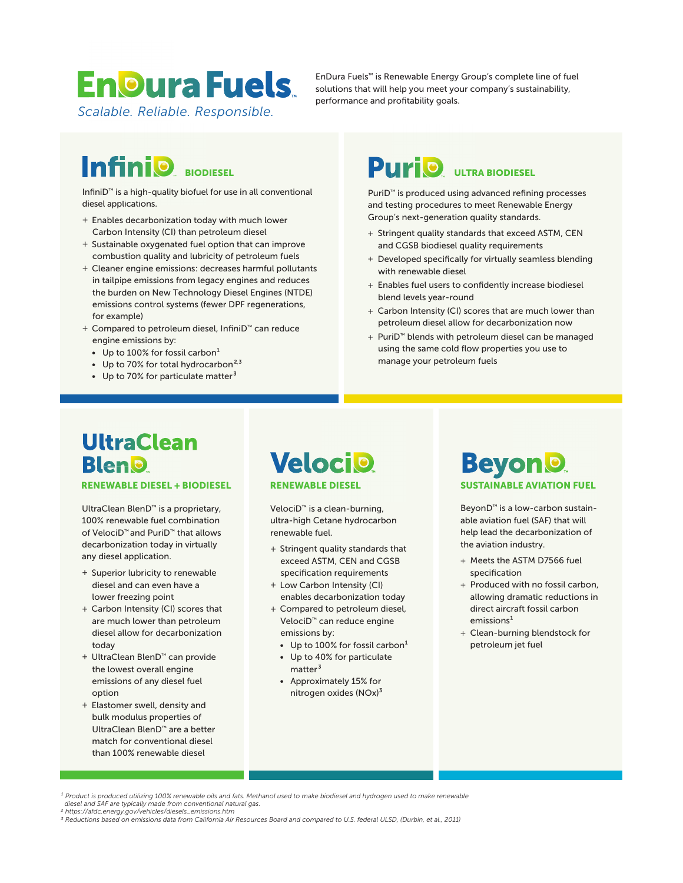# **EnDura Fuels**

*Scalable. Reliable. Responsible.*

EnDura Fuels™ is Renewable Energy Group's complete line of fuel solutions that will help you meet your company's sustainability, performance and profitability goals.

InfiniD™ is a high-quality biofuel for use in all conventional diesel applications.

- + Enables decarbonization today with much lower Carbon Intensity (CI) than petroleum diesel
- + Sustainable oxygenated fuel option that can improve combustion quality and lubricity of petroleum fuels
- + Cleaner engine emissions: decreases harmful pollutants in tailpipe emissions from legacy engines and reduces the burden on New Technology Diesel Engines (NTDE) emissions control systems (fewer DPF regenerations, for example)
- + Compared to petroleum diesel, InfiniD™ can reduce engine emissions by:
	- Up to 100% for fossil carbon $<sup>1</sup>$ </sup>
- Up to 70% for total hydrocarbon $^{2,3}$ 
	- Up to 70% for particulate matter $3$

## **BIODIESEL PULTRA BIODIESEL**

PuriD™ is produced using advanced refining processes and testing procedures to meet Renewable Energy Group's next-generation quality standards.

- + Stringent quality standards that exceed ASTM, CEN and CGSB biodiesel quality requirements
- + Developed specifically for virtually seamless blending with renewable diesel
- + Enables fuel users to confidently increase biodiesel blend levels year-round
- + Carbon Intensity (CI) scores that are much lower than petroleum diesel allow for decarbonization now
- + PuriD™ blends with petroleum diesel can be managed using the same cold flow properties you use to manage your petroleum fuels

## **UltraClean BlenO RENEWABLE DIESEL + BIODIESEL**

UltraClean BlenD™ is a proprietary, 100% renewable fuel combination of VelociD™ and PuriD™ that allows decarbonization today in virtually any diesel application.

- + Superior lubricity to renewable diesel and can even have a lower freezing point
- + Carbon Intensity (CI) scores that are much lower than petroleum diesel allow for decarbonization today
- + UltraClean BlenD™ can provide the lowest overall engine emissions of any diesel fuel option
- + Elastomer swell, density and bulk modulus properties of UltraClean BlenD™ are a better match for conventional diesel than 100% renewable diesel

**Velocio RENEWABLE DIESEL**

VelociD™ is a clean-burning, ultra-high Cetane hydrocarbon renewable fuel.

- + Stringent quality standards that exceed ASTM, CEN and CGSB specification requirements
- + Low Carbon Intensity (CI) enables decarbonization today
- + Compared to petroleum diesel, VelociD™ can reduce engine emissions by:
	- Up to  $100\%$  for fossil carbon $^1$
	- Up to 40% for particulate matter<sup>3</sup>
	- Approximately 15% for nitrogen oxides (NOx)<sup>3</sup>



BeyonD™ is a low-carbon sustainable aviation fuel (SAF) that will help lead the decarbonization of the aviation industry.

- + Meets the ASTM D7566 fuel specification
- + Produced with no fossil carbon, allowing dramatic reductions in direct aircraft fossil carbon  $emission<sup>1</sup>$
- + Clean-burning blendstock for petroleum jet fuel

*¹ Product is produced utilizing 100% renewable oils and fats. Methanol used to make biodiesel and hydrogen used to make renewable diesel and SAF are typically made from conventional natural gas.*

*<sup>2</sup> https://afdc.energy.gov/vehicles/diesels\_emissions.htm*

*<sup>3</sup> Reductions based on emissions data from California Air Resources Board and compared to U.S. federal ULSD, (Durbin, et al., 2011)*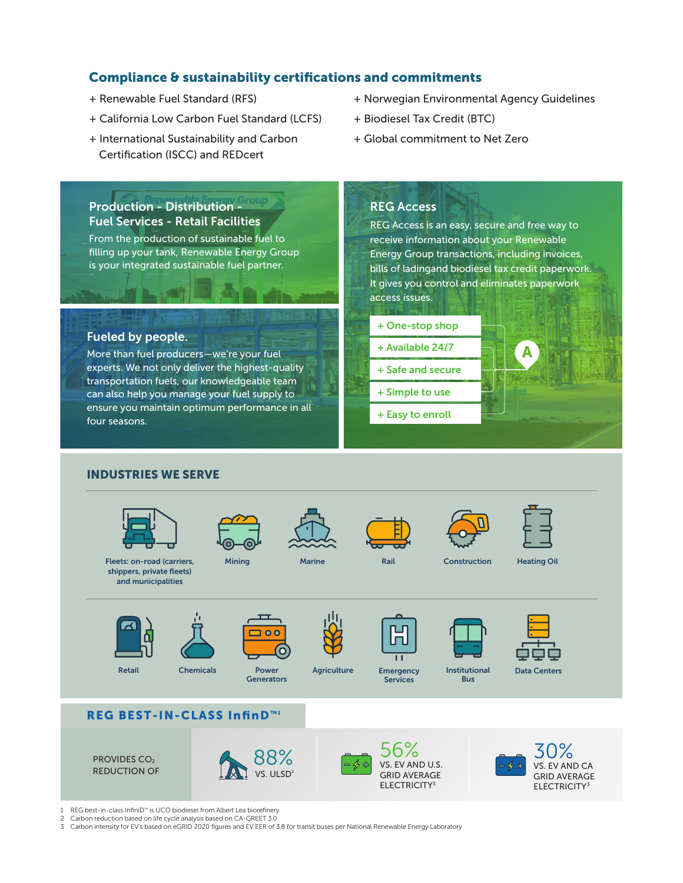### **Compliance & sustainability certifications and commitments**

- + Renewable Fuel Standard (RFS)
- + California Low Carbon Fuel Standard (LCFS)
- + International Sustainability and Carbon Certification (ISCC) and REDcert
- + Norwegian Environmental Agency Guidelines
- + Biodiesel Tax Credit (BTC)
- + Global commitment to Net Zero

### **Production - Distribution - Fuel Services - Retail Facilities**

From the production of sustainable fuel to filling up your tank, Renewable Energy Group is your integrated sustainable fuel partner.

### **Fueled by people.**

More than fuel producers—we're your fuel experts. We not only deliver the highest-quality transportation fuels, our knowledgeable team can also help you manage your fuel supply to ensure you maintain optimum performance in all four seasons.

### **REG Access**

REG Access is an easy, secure and free way to receive information about your Renewable Energy Group transactions, including invoices, bills of ladingand biodiesel tax credit paperwork. It gives you control and eliminates paperwork access issues.





- **+ Safe and secure**
- **+ Simple to use**
- **+ Easy to enroll**



### **INDUSTRIES WE SERVE**



1 REG best-in-class InfiniD™ is UCO biodiesel from Albert Lea biorefinery

- 2 Carbon reduction based on life cycle analysis based on CA-GREET 3.0<br>3 Carbon intensity for EV's based on eGRID 2020 figures and EV EER of 3
- 3 Carbon intensity for EV's based on eGRID 2020 figures and EV EER of 3.8 for transit buses per National Renewable Energy Laboratory